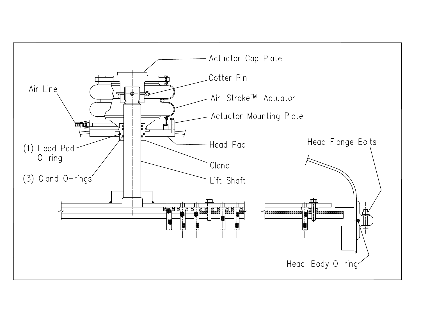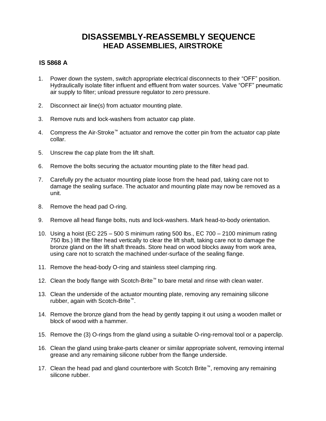## **DISASSEMBLY-REASSEMBLY SEQUENCE HEAD ASSEMBLIES, AIRSTROKE**

## **IS 5868 A**

- 1. Power down the system, switch appropriate electrical disconnects to their "OFF" position. Hydraulically isolate filter influent and effluent from water sources. Valve "OFF" pneumatic air supply to filter; unload pressure regulator to zero pressure.
- 2. Disconnect air line(s) from actuator mounting plate.
- 3. Remove nuts and lock-washers from actuator cap plate.
- 4. Compress the Air-Stroke™ actuator and remove the cotter pin from the actuator cap plate collar.
- 5. Unscrew the cap plate from the lift shaft.
- 6. Remove the bolts securing the actuator mounting plate to the filter head pad.
- 7. Carefully pry the actuator mounting plate loose from the head pad, taking care not to damage the sealing surface. The actuator and mounting plate may now be removed as a unit.
- 8. Remove the head pad O-ring.
- 9. Remove all head flange bolts, nuts and lock-washers. Mark head-to-body orientation.
- 10. Using a hoist (EC 225 500 S minimum rating 500 lbs., EC 700 2100 minimum rating 750 lbs.) lift the filter head vertically to clear the lift shaft, taking care not to damage the bronze gland on the lift shaft threads. Store head on wood blocks away from work area, using care not to scratch the machined under-surface of the sealing flange.
- 11. Remove the head-body O-ring and stainless steel clamping ring.
- 12. Clean the body flange with Scotch-Brite™ to bare metal and rinse with clean water.
- 13. Clean the underside of the actuator mounting plate, removing any remaining silicone rubber, again with Scotch-Brite™.
- 14. Remove the bronze gland from the head by gently tapping it out using a wooden mallet or block of wood with a hammer.
- 15. Remove the (3) O-rings from the gland using a suitable O-ring-removal tool or a paperclip.
- 16. Clean the gland using brake-parts cleaner or similar appropriate solvent, removing internal grease and any remaining silicone rubber from the flange underside.
- 17. Clean the head pad and gland counterbore with Scotch Brite™, removing any remaining silicone rubber.